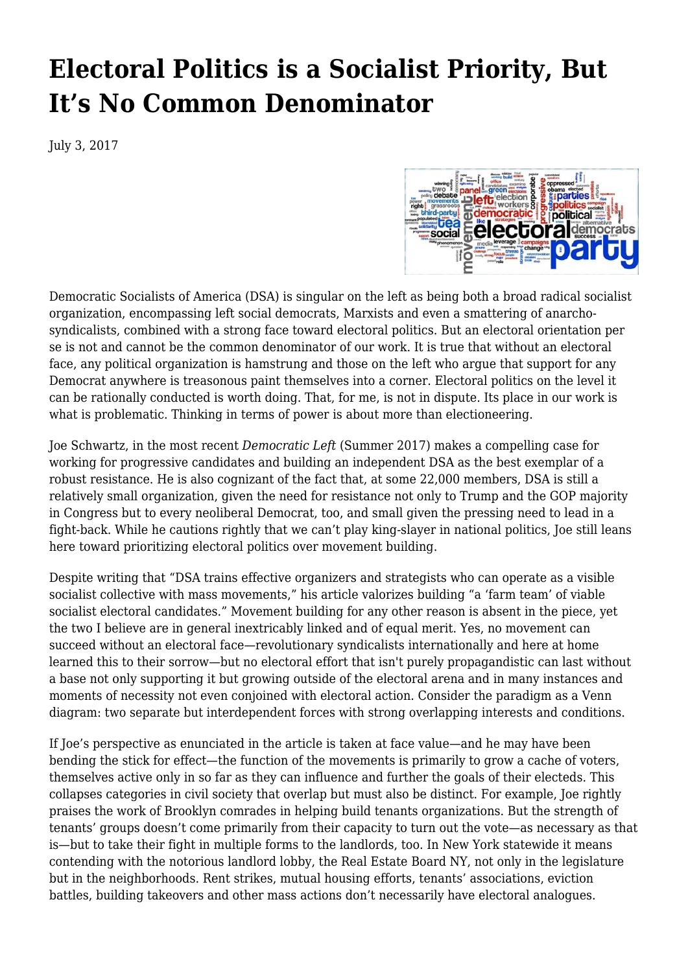## **[Electoral Politics is a Socialist Priority, But](https://newpol.org/electoral-politics-socialist-priority-its-no-common-denominator/) [It's No Common Denominator](https://newpol.org/electoral-politics-socialist-priority-its-no-common-denominator/)**

July 3, 2017



[Democratic Socialists of America](http://www.dsausa.org) (DSA) is singular on the left as being both a broad radical socialist organization, encompassing left social democrats, Marxists and even a smattering of anarchosyndicalists, combined with a strong face toward electoral politics. But an electoral orientation per se is not and cannot be the common denominator of our work. It is true that without an electoral face, any political organization is hamstrung and those on the left who argue that support for any Democrat anywhere is treasonous paint themselves into a corner. Electoral politics on the level it can be rationally conducted is worth doing. That, for me, is not in dispute. Its place in our work is what is problematic. Thinking in terms of power is about more than electioneering.

Joe Schwartz, [in the most recent](http://www.dsausa.org/coalition_politics_and_the_fight_for_socialism_dl) *[Democratic Left](http://www.dsausa.org/coalition_politics_and_the_fight_for_socialism_dl)* (Summer 2017) makes a compelling case for working for progressive candidates and building an independent DSA as the best exemplar of a robust resistance. He is also cognizant of the fact that, at some 22,000 members, DSA is still a relatively small organization, given the need for resistance not only to Trump and the GOP majority in Congress but to every neoliberal Democrat, too, and small given the pressing need to lead in a fight-back. While he cautions rightly that we can't play king-slayer in national politics, Joe still leans here toward prioritizing electoral politics over movement building.

Despite writing that "DSA trains effective organizers and strategists who can operate as a visible socialist collective with mass movements," his article valorizes building "a 'farm team' of viable socialist electoral candidates." Movement building for any other reason is absent in the piece, yet the two I believe are in general inextricably linked and of equal merit. Yes, no movement can succeed without an electoral face—revolutionary syndicalists internationally and here at home learned this to their sorrow—but no electoral effort that isn't purely propagandistic can last without a base not only supporting it but growing outside of the electoral arena and in many instances and moments of necessity not even conjoined with electoral action. Consider the paradigm as a Venn diagram: two separate but interdependent forces with strong overlapping interests and conditions.

If Joe's perspective as enunciated in the article is taken at face value—and he may have been bending the stick for effect—the function of the movements is primarily to grow a cache of voters, themselves active only in so far as they can influence and further the goals of their electeds. This collapses categories in civil society that overlap but must also be distinct. For example, Joe rightly praises the work of Brooklyn comrades in helping build tenants organizations. But the strength of tenants' groups doesn't come primarily from their capacity to turn out the vote—as necessary as that is—but to take their fight in multiple forms to the landlords, too. In New York statewide it means contending with the notorious landlord lobby, the Real Estate Board NY, not only in the legislature but in the neighborhoods. Rent strikes, mutual housing efforts, tenants' associations, eviction battles, building takeovers and other mass actions don't necessarily have electoral analogues.